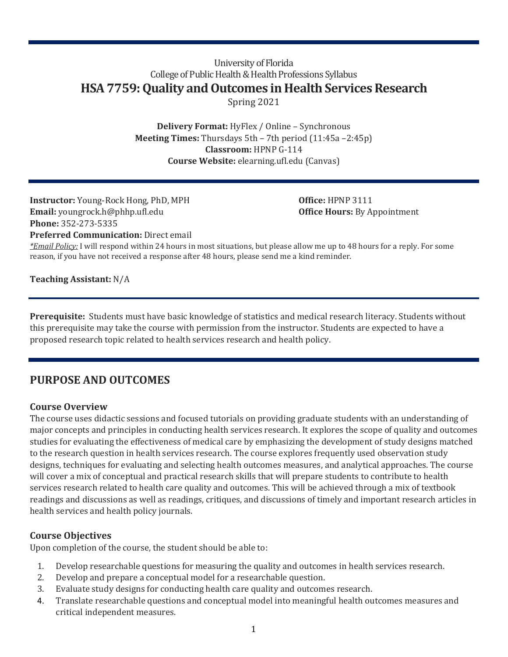## University of Florida College of Public Health & Health Professions Syllabus **HSA 7759: Quality and Outcomes in Health Services Research** Spring 2021

**Delivery Format:** HyFlex / Online – Synchronous **Meeting Times:** Thursdays 5th – 7th period (11:45a –2:45p) **Classroom:** HPNP G-114 **Course Website:** elearning.ufl.edu (Canvas)

**Instructor:** Young-Rock Hong, PhD, MPH **Office:** HPNP 3111 **Email:** youngrock.h@phhp.ufl.edu **Office Hours:** By Appointment **Phone:** 352-273-5335

**Preferred Communication:** Direct email

*\*Email Policy:* I will respond within 24 hours in most situations, but please allow me up to 48 hours for a reply. For some reason, if you have not received a response after 48 hours, please send me a kind reminder.

**Teaching Assistant:** N/A

**Prerequisite:** Students must have basic knowledge of statistics and medical research literacy. Students without this prerequisite may take the course with permission from the instructor. Students are expected to have a proposed research topic related to health services research and health policy.

# **PURPOSE AND OUTCOMES**

## **Course Overview**

The course uses didactic sessions and focused tutorials on providing graduate students with an understanding of major concepts and principles in conducting health services research. It explores the scope of quality and outcomes studies for evaluating the effectiveness of medical care by emphasizing the development of study designs matched to the research question in health services research. The course explores frequently used observation study designs, techniques for evaluating and selecting health outcomes measures, and analytical approaches. The course will cover a mix of conceptual and practical research skills that will prepare students to contribute to health services research related to health care quality and outcomes. This will be achieved through a mix of textbook readings and discussions as well as readings, critiques, and discussions of timely and important research articles in health services and health policy journals.

## **Course Objectives**

Upon completion of the course, the student should be able to:

- 1. Develop researchable questions for measuring the quality and outcomes in health services research.
- 2. Develop and prepare a conceptual model for a researchable question.
- 3. Evaluate study designs for conducting health care quality and outcomes research.
- 4. Translate researchable questions and conceptual model into meaningful health outcomes measures and critical independent measures.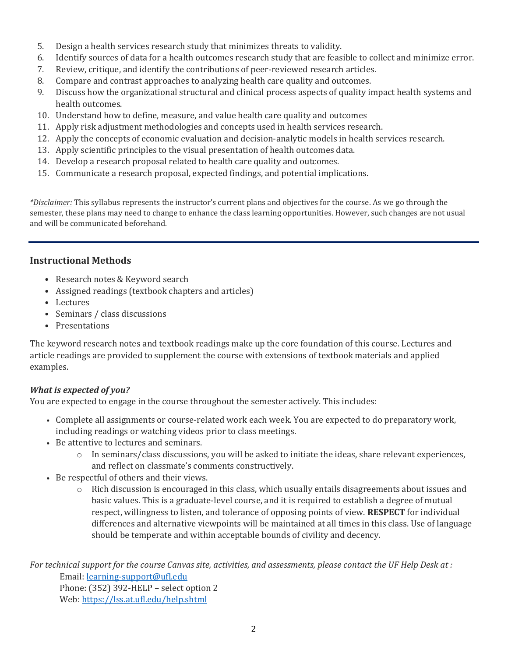- 5. Design a health services research study that minimizes threats to validity.
- 6. Identify sources of data for a health outcomes research study that are feasible to collect and minimize error.
- 7. Review, critique, and identify the contributions of peer-reviewed research articles.
- 8. Compare and contrast approaches to analyzing health care quality and outcomes.
- 9. Discuss how the organizational structural and clinical process aspects of quality impact health systems and health outcomes.
- 10. Understand how to define, measure, and value health care quality and outcomes
- 11. Apply risk adjustment methodologies and concepts used in health services research.
- 12. Apply the concepts of economic evaluation and decision-analytic models in health services research.
- 13. Apply scientific principles to the visual presentation of health outcomes data.
- 14. Develop a research proposal related to health care quality and outcomes.
- 15. Communicate a research proposal, expected findings, and potential implications.

*\*Disclaimer:* This syllabus represents the instructor's current plans and objectives for the course. As we go through the semester, these plans may need to change to enhance the class learning opportunities. However, such changes are not usual and will be communicated beforehand.

## **Instructional Methods**

- Research notes & Keyword search
- Assigned readings (textbook chapters and articles)
- Lectures
- Seminars / class discussions
- Presentations

The keyword research notes and textbook readings make up the core foundation of this course. Lectures and article readings are provided to supplement the course with extensions of textbook materials and applied examples.

## *What is expected of you?*

You are expected to engage in the course throughout the semester actively. This includes:

- Complete all assignments or course-related work each week. You are expected to do preparatory work, including readings or watching videos prior to class meetings.
- Be attentive to lectures and seminars.
	- $\circ$  In seminars/class discussions, you will be asked to initiate the ideas, share relevant experiences, and reflect on classmate's comments constructively.
- Be respectful of others and their views.
	- $\circ$  Rich discussion is encouraged in this class, which usually entails disagreements about issues and basic values. This is a graduate-level course, and it is required to establish a degree of mutual respect, willingness to listen, and tolerance of opposing points of view. **RESPECT** for individual differences and alternative viewpoints will be maintained at all times in this class. Use of language should be temperate and within acceptable bounds of civility and decency.

*For technical support for the course Canvas site, activities, and assessments, please contact the UF Help Desk at :* Email: [learning-support@ufl.edu](mailto:learning-support@ufl.edu) Phone: (352) 392-HELP – select option 2 Web:<https://lss.at.ufl.edu/help.shtml>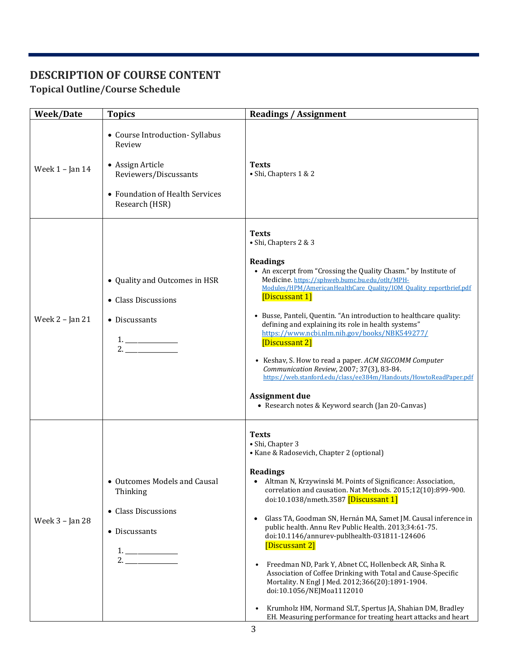# **DESCRIPTION OF COURSE CONTENT**

# **Topical Outline/Course Schedule**

| <b>Week/Date</b>    | <b>Topics</b>                                                                                                                               | <b>Readings / Assignment</b>                                                                                                                                                                                                                                                                                                                                                                                                                                                                                                                                                                                                                                                                                                                                                                                                  |  |  |  |  |  |  |
|---------------------|---------------------------------------------------------------------------------------------------------------------------------------------|-------------------------------------------------------------------------------------------------------------------------------------------------------------------------------------------------------------------------------------------------------------------------------------------------------------------------------------------------------------------------------------------------------------------------------------------------------------------------------------------------------------------------------------------------------------------------------------------------------------------------------------------------------------------------------------------------------------------------------------------------------------------------------------------------------------------------------|--|--|--|--|--|--|
| Week $1$ – Jan $14$ | • Course Introduction- Syllabus<br>Review<br>• Assign Article<br>Reviewers/Discussants<br>• Foundation of Health Services<br>Research (HSR) | <b>Texts</b><br>• Shi, Chapters 1 & 2                                                                                                                                                                                                                                                                                                                                                                                                                                                                                                                                                                                                                                                                                                                                                                                         |  |  |  |  |  |  |
| Week 2 - Jan 21     | • Quality and Outcomes in HSR<br>• Class Discussions<br>• Discussants<br>$1. \underline{\hspace{2cm}}$<br>2.                                | <b>Texts</b><br>• Shi, Chapters 2 & 3<br><b>Readings</b><br>• An excerpt from "Crossing the Quality Chasm." by Institute of<br>Medicine. https://sphweb.bumc.bu.edu/otlt/MPH-<br>Modules/HPM/AmericanHealthCare Quality/IOM Quality reportbrief.pdf<br>[Discussant 1]<br>• Busse, Panteli, Quentin. "An introduction to healthcare quality:<br>defining and explaining its role in health systems"<br>https://www.ncbi.nlm.nih.gov/books/NBK549277/<br>[Discussant 2]<br>• Keshav, S. How to read a paper. ACM SIGCOMM Computer<br>Communication Review, 2007; 37(3), 83-84.<br>https://web.stanford.edu/class/ee384m/Handouts/HowtoReadPaper.pdf<br><b>Assignment due</b><br>• Research notes & Keyword search (Jan 20-Canvas)                                                                                               |  |  |  |  |  |  |
| Week 3 - Jan 28     | • Outcomes Models and Causal<br>Thinking<br>• Class Discussions<br>• Discussants<br>$1. \underline{\hspace{2cm}}$<br>2.                     | <b>Texts</b><br>• Shi, Chapter 3<br>• Kane & Radosevich, Chapter 2 (optional)<br><b>Readings</b><br>Altman N, Krzywinski M. Points of Significance: Association,<br>correlation and causation. Nat Methods. 2015;12(10):899-900.<br>doi:10.1038/nmeth.3587 [Discussant 1]<br>Glass TA, Goodman SN, Hernán MA, Samet JM. Causal inference in<br>$\bullet$<br>public health. Annu Rev Public Health. 2013;34:61-75.<br>doi:10.1146/annurev-publhealth-031811-124606<br>[Discussant 2]<br>Freedman ND, Park Y, Abnet CC, Hollenbeck AR, Sinha R.<br>Association of Coffee Drinking with Total and Cause-Specific<br>Mortality. N Engl J Med. 2012;366(20):1891-1904.<br>doi:10.1056/NEJMoa1112010<br>Krumholz HM, Normand SLT, Spertus JA, Shahian DM, Bradley<br>EH. Measuring performance for treating heart attacks and heart |  |  |  |  |  |  |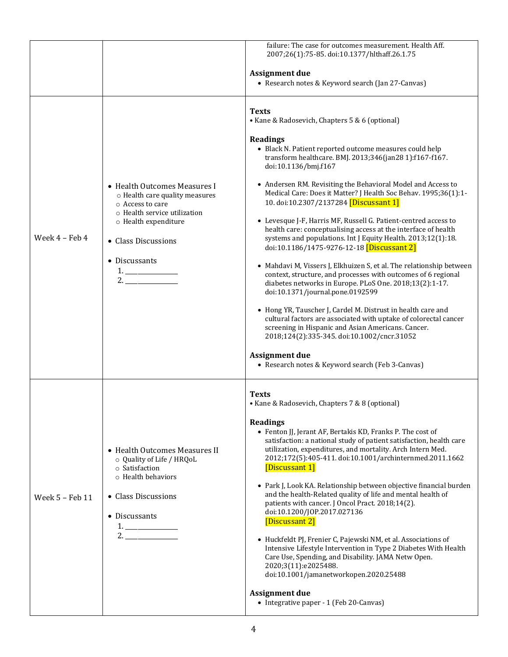|                 |                                                                                                                                                                                                                                                    | failure: The case for outcomes measurement. Health Aff.<br>2007;26(1):75-85. doi:10.1377/hlthaff.26.1.75                                                                                                                                                                                                                                                                                                                                                                                                                                                                                                                                                                                                                                                                                                                                                                                                                                                                                                                                                                                                                                                                                                               |
|-----------------|----------------------------------------------------------------------------------------------------------------------------------------------------------------------------------------------------------------------------------------------------|------------------------------------------------------------------------------------------------------------------------------------------------------------------------------------------------------------------------------------------------------------------------------------------------------------------------------------------------------------------------------------------------------------------------------------------------------------------------------------------------------------------------------------------------------------------------------------------------------------------------------------------------------------------------------------------------------------------------------------------------------------------------------------------------------------------------------------------------------------------------------------------------------------------------------------------------------------------------------------------------------------------------------------------------------------------------------------------------------------------------------------------------------------------------------------------------------------------------|
|                 |                                                                                                                                                                                                                                                    | <b>Assignment due</b><br>• Research notes & Keyword search (Jan 27-Canvas)                                                                                                                                                                                                                                                                                                                                                                                                                                                                                                                                                                                                                                                                                                                                                                                                                                                                                                                                                                                                                                                                                                                                             |
| Week 4 - Feb 4  | • Health Outcomes Measures I<br>o Health care quality measures<br>○ Access to care<br>o Health service utilization<br>o Health expenditure<br>• Class Discussions<br>• Discussants<br>$\begin{array}{c}\n1. \\ 2. \quad \text{---} \\ \end{array}$ | <b>Texts</b><br>• Kane & Radosevich, Chapters 5 & 6 (optional)<br>Readings<br>• Black N. Patient reported outcome measures could help<br>transform healthcare. BMJ. 2013;346(jan28 1):f167-f167.<br>doi:10.1136/bmj.f167<br>• Andersen RM. Revisiting the Behavioral Model and Access to<br>Medical Care: Does it Matter? J Health Soc Behav. 1995;36(1):1-<br>10. doi:10.2307/2137284 [Discussant 1]<br>• Levesque J-F, Harris MF, Russell G. Patient-centred access to<br>health care: conceptualising access at the interface of health<br>systems and populations. Int J Equity Health. 2013;12(1):18.<br>doi:10.1186/1475-9276-12-18 [Discussant 2]<br>• Mahdavi M, Vissers J, Elkhuizen S, et al. The relationship between<br>context, structure, and processes with outcomes of 6 regional<br>diabetes networks in Europe. PLoS One. 2018;13(2):1-17.<br>doi:10.1371/journal.pone.0192599<br>• Hong YR, Tauscher J, Cardel M. Distrust in health care and<br>cultural factors are associated with uptake of colorectal cancer<br>screening in Hispanic and Asian Americans. Cancer.<br>2018;124(2):335-345. doi:10.1002/cncr.31052<br><b>Assignment due</b><br>• Research notes & Keyword search (Feb 3-Canvas) |
| Week 5 - Feb 11 | • Health Outcomes Measures II<br>o Quality of Life / HRQoL<br>o Satisfaction<br>o Health behaviors<br>• Class Discussions<br>• Discussants<br>$\begin{array}{c}\n1. \\ 2. \quad \text{________} \end{array}$                                       | <b>Texts</b><br>• Kane & Radosevich, Chapters 7 & 8 (optional)<br><b>Readings</b><br>• Fenton JJ, Jerant AF, Bertakis KD, Franks P. The cost of<br>satisfaction: a national study of patient satisfaction, health care<br>utilization, expenditures, and mortality. Arch Intern Med.<br>2012;172(5):405-411. doi:10.1001/archinternmed.2011.1662<br>[Discussant 1]<br>• Park J, Look KA. Relationship between objective financial burden<br>and the health-Related quality of life and mental health of<br>patients with cancer. J Oncol Pract. 2018;14(2).<br>doi:10.1200/JOP.2017.027136<br>[Discussant 2]<br>· Huckfeldt PJ, Frenier C, Pajewski NM, et al. Associations of<br>Intensive Lifestyle Intervention in Type 2 Diabetes With Health<br>Care Use, Spending, and Disability. JAMA Netw Open.<br>2020;3(11):e2025488.<br>doi:10.1001/jamanetworkopen.2020.25488<br>Assignment due<br>• Integrative paper - 1 (Feb 20-Canvas)                                                                                                                                                                                                                                                                                |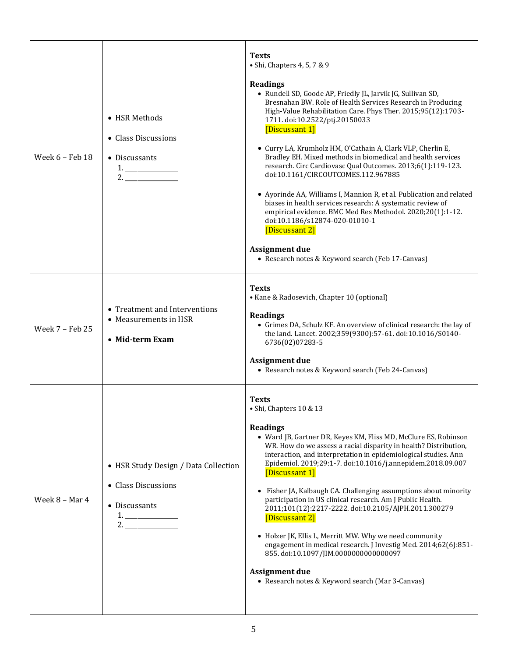| Week 6 - Feb 18 | • HSR Methods<br>• Class Discussions<br>• Discussants<br>$1. \begin{tabular}{l} \hline \end{tabular}$<br>2.                                                                                                                                                                                                                                                                                                                                                                                                                                                                                                  | <b>Texts</b><br>· Shi, Chapters 4, 5, 7 & 9<br><b>Readings</b><br>• Rundell SD, Goode AP, Friedly JL, Jarvik JG, Sullivan SD,<br>Bresnahan BW. Role of Health Services Research in Producing<br>High-Value Rehabilitation Care. Phys Ther. 2015;95(12):1703-<br>1711. doi:10.2522/ptj.20150033<br>[Discussant 1]<br>· Curry LA, Krumholz HM, O'Cathain A, Clark VLP, Cherlin E,<br>Bradley EH. Mixed methods in biomedical and health services<br>research. Circ Cardiovasc Qual Outcomes. 2013;6(1):119-123.<br>doi:10.1161/CIRCOUTCOMES.112.967885<br>• Ayorinde AA, Williams I, Mannion R, et al. Publication and related<br>biases in health services research: A systematic review of<br>empirical evidence. BMC Med Res Methodol. 2020;20(1):1-12.<br>doi:10.1186/s12874-020-01010-1<br>[Discussant 2]<br><b>Assignment due</b><br>• Research notes & Keyword search (Feb 17-Canvas) |
|-----------------|--------------------------------------------------------------------------------------------------------------------------------------------------------------------------------------------------------------------------------------------------------------------------------------------------------------------------------------------------------------------------------------------------------------------------------------------------------------------------------------------------------------------------------------------------------------------------------------------------------------|--------------------------------------------------------------------------------------------------------------------------------------------------------------------------------------------------------------------------------------------------------------------------------------------------------------------------------------------------------------------------------------------------------------------------------------------------------------------------------------------------------------------------------------------------------------------------------------------------------------------------------------------------------------------------------------------------------------------------------------------------------------------------------------------------------------------------------------------------------------------------------------------|
| Week 7 - Feb 25 | • Treatment and Interventions<br>• Measurements in HSR<br>• Mid-term Exam                                                                                                                                                                                                                                                                                                                                                                                                                                                                                                                                    | <b>Texts</b><br>• Kane & Radosevich, Chapter 10 (optional)<br><b>Readings</b><br>• Grimes DA, Schulz KF. An overview of clinical research: the lay of<br>the land. Lancet. 2002;359(9300):57-61. doi:10.1016/S0140-<br>6736(02)07283-5<br><b>Assignment due</b><br>• Research notes & Keyword search (Feb 24-Canvas)                                                                                                                                                                                                                                                                                                                                                                                                                                                                                                                                                                       |
| Week 8 - Mar 4  | • HSR Study Design / Data Collection<br>• Class Discussions<br>• Discussants<br>$\begin{array}{c} \n 1. & \quad \text{if} \quad \text{if} \quad \text{if} \quad \text{if} \quad \text{if} \quad \text{if} \quad \text{if} \quad \text{if} \quad \text{if} \quad \text{if} \quad \text{if} \quad \text{if} \quad \text{if} \quad \text{if} \quad \text{if} \quad \text{if} \quad \text{if} \quad \text{if} \quad \text{if} \quad \text{if} \quad \text{if} \quad \text{if} \quad \text{if} \quad \text{if} \quad \text{if} \quad \text{if} \quad \text{if} \quad \text{if} \quad \text{if} \quad \text$<br>2. | <b>Texts</b><br>• Shi, Chapters $10 \& 13$<br>Readings<br>• Ward JB, Gartner DR, Keyes KM, Fliss MD, McClure ES, Robinson<br>WR. How do we assess a racial disparity in health? Distribution,<br>interaction, and interpretation in epidemiological studies. Ann<br>Epidemiol. 2019;29:1-7. doi:10.1016/j.annepidem.2018.09.007<br>[Discussant 1]<br>• Fisher JA, Kalbaugh CA. Challenging assumptions about minority<br>participation in US clinical research. Am J Public Health.<br>2011;101(12):2217-2222. doi:10.2105/AJPH.2011.300279<br>[Discussant 2]<br>• Holzer JK, Ellis L, Merritt MW. Why we need community<br>engagement in medical research. J Investig Med. 2014;62(6):851-<br>855. doi:10.1097/JIM.0000000000000097<br><b>Assignment due</b><br>• Research notes & Keyword search (Mar 3-Canvas)                                                                          |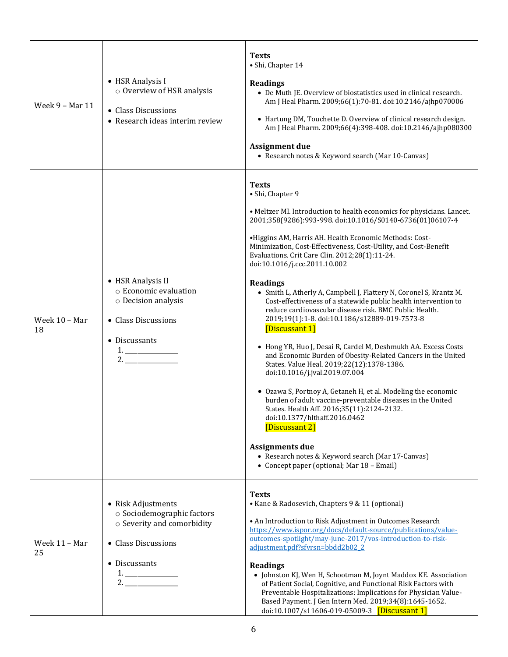| Week 9 - Mar 11     | • HSR Analysis I<br>o Overview of HSR analysis<br>• Class Discussions<br>• Research ideas interim review                                         | <b>Texts</b><br>· Shi, Chapter 14<br><b>Readings</b><br>• De Muth JE. Overview of biostatistics used in clinical research.<br>Am J Heal Pharm. 2009;66(1):70-81. doi:10.2146/ajhp070006<br>• Hartung DM, Touchette D. Overview of clinical research design.<br>Am J Heal Pharm. 2009;66(4):398-408. doi:10.2146/ajhp080300<br><b>Assignment due</b><br>• Research notes & Keyword search (Mar 10-Canvas)                                                                                                                                                                                                                                                                                                                                                                                                                                                                                                                                                                                                                                                                                                                                                                                                                                                         |
|---------------------|--------------------------------------------------------------------------------------------------------------------------------------------------|------------------------------------------------------------------------------------------------------------------------------------------------------------------------------------------------------------------------------------------------------------------------------------------------------------------------------------------------------------------------------------------------------------------------------------------------------------------------------------------------------------------------------------------------------------------------------------------------------------------------------------------------------------------------------------------------------------------------------------------------------------------------------------------------------------------------------------------------------------------------------------------------------------------------------------------------------------------------------------------------------------------------------------------------------------------------------------------------------------------------------------------------------------------------------------------------------------------------------------------------------------------|
| Week 10 - Mar<br>18 | • HSR Analysis II<br>o Economic evaluation<br>o Decision analysis<br>• Class Discussions<br>• Discussants<br>$1. \underline{\hspace{2cm}}$<br>2. | <b>Texts</b><br>· Shi, Chapter 9<br>• Meltzer MI. Introduction to health economics for physicians. Lancet.<br>2001;358(9286):993-998. doi:10.1016/S0140-6736(01)06107-4<br>•Higgins AM, Harris AH. Health Economic Methods: Cost-<br>Minimization, Cost-Effectiveness, Cost-Utility, and Cost-Benefit<br>Evaluations. Crit Care Clin. 2012;28(1):11-24.<br>doi:10.1016/j.ccc.2011.10.002<br><b>Readings</b><br>• Smith L, Atherly A, Campbell J, Flattery N, Coronel S, Krantz M.<br>Cost-effectiveness of a statewide public health intervention to<br>reduce cardiovascular disease risk. BMC Public Health.<br>2019;19(1):1-8. doi:10.1186/s12889-019-7573-8<br>[Discussant 1]<br>• Hong YR, Huo J, Desai R, Cardel M, Deshmukh AA. Excess Costs<br>and Economic Burden of Obesity-Related Cancers in the United<br>States. Value Heal. 2019;22(12):1378-1386.<br>doi:10.1016/j.jval.2019.07.004<br>• Ozawa S, Portnoy A, Getaneh H, et al. Modeling the economic<br>burden of adult vaccine-preventable diseases in the United<br>States. Health Aff. 2016;35(11):2124-2132.<br>doi:10.1377/hlthaff.2016.0462<br>[Discussant 2]<br><b>Assignments due</b><br>• Research notes & Keyword search (Mar 17-Canvas)<br>• Concept paper (optional; Mar 18 – Email) |
| Week 11 - Mar<br>25 | • Risk Adjustments<br>o Sociodemographic factors<br>o Severity and comorbidity<br>• Class Discussions<br>• Discussants<br>2.                     | <b>Texts</b><br>• Kane & Radosevich, Chapters 9 & 11 (optional)<br>• An Introduction to Risk Adjustment in Outcomes Research<br>https://www.ispor.org/docs/default-source/publications/value-<br>outcomes-spotlight/may-june-2017/vos-introduction-to-risk-<br>adjustment.pdf?sfvrsn=bbdd2b02_2<br><b>Readings</b><br>• Johnston KJ, Wen H, Schootman M, Joynt Maddox KE. Association<br>of Patient Social, Cognitive, and Functional Risk Factors with<br>Preventable Hospitalizations: Implications for Physician Value-<br>Based Payment. J Gen Intern Med. 2019;34(8):1645-1652.<br>doi:10.1007/s11606-019-05009-3 [Discussant 1]                                                                                                                                                                                                                                                                                                                                                                                                                                                                                                                                                                                                                            |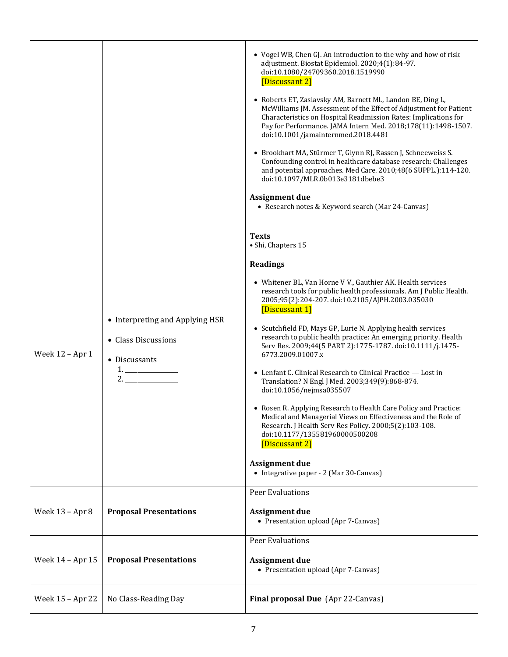|                  |                                                                                                                                                                                                                                                                                                                                                                                                                                                                                                                                                                                | • Vogel WB, Chen GJ. An introduction to the why and how of risk<br>adjustment. Biostat Epidemiol. 2020;4(1):84-97.<br>doi:10.1080/24709360.2018.1519990<br>[Discussant 2]<br>• Roberts ET, Zaslavsky AM, Barnett ML, Landon BE, Ding L,<br>McWilliams JM. Assessment of the Effect of Adjustment for Patient<br>Characteristics on Hospital Readmission Rates: Implications for<br>Pay for Performance. JAMA Intern Med. 2018;178(11):1498-1507.<br>doi:10.1001/jamainternmed.2018.4481<br>• Brookhart MA, Stürmer T, Glynn RJ, Rassen J, Schneeweiss S.<br>Confounding control in healthcare database research: Challenges<br>and potential approaches. Med Care. 2010;48(6 SUPPL.):114-120.<br>doi:10.1097/MLR.0b013e3181dbebe3<br><b>Assignment due</b><br>• Research notes & Keyword search (Mar 24-Canvas)                                                                                                                                                 |
|------------------|--------------------------------------------------------------------------------------------------------------------------------------------------------------------------------------------------------------------------------------------------------------------------------------------------------------------------------------------------------------------------------------------------------------------------------------------------------------------------------------------------------------------------------------------------------------------------------|-----------------------------------------------------------------------------------------------------------------------------------------------------------------------------------------------------------------------------------------------------------------------------------------------------------------------------------------------------------------------------------------------------------------------------------------------------------------------------------------------------------------------------------------------------------------------------------------------------------------------------------------------------------------------------------------------------------------------------------------------------------------------------------------------------------------------------------------------------------------------------------------------------------------------------------------------------------------|
| Week 12 - Apr 1  | • Interpreting and Applying HSR<br>• Class Discussions<br>• Discussants<br>$1. \underline{\hspace{1.0cm}1. \underline{\hspace{1.0cm}1. \underline{\hspace{1.0cm}1. \underline{\hspace{1.0cm}1. \underline{\hspace{1.0cm}1. \underline{\hspace{1.0cm}1. \underline{\hspace{1.0cm}1. \underline{\hspace{1.0cm}1. \underline{\hspace{1.0cm}1. \underline{\hspace{1.0cm}1. \underline{\hspace{1.0cm}1. \underline{\hspace{1.0cm}1. \underline{\hspace{1.0cm}1. \underline{\hspace{1.0cm}1. \underline{\hspace{1.0cm}1. \underline{\hspace{1.0cm}1. \underline{\hspace{1.0cm$<br>2. | <b>Texts</b><br>· Shi, Chapters 15<br><b>Readings</b><br>• Whitener BL, Van Horne V V., Gauthier AK. Health services<br>research tools for public health professionals. Am J Public Health.<br>2005;95(2):204-207. doi:10.2105/AJPH.2003.035030<br>[Discussant 1]<br>• Scutchfield FD, Mays GP, Lurie N. Applying health services<br>research to public health practice: An emerging priority. Health<br>Serv Res. 2009;44(5 PART 2):1775-1787. doi:10.1111/j.1475-<br>6773.2009.01007.x<br>• Lenfant C. Clinical Research to Clinical Practice - Lost in<br>Translation? N Engl J Med. 2003;349(9):868-874.<br>doi:10.1056/nejmsa035507<br>• Rosen R. Applying Research to Health Care Policy and Practice:<br>Medical and Managerial Views on Effectiveness and the Role of<br>Research. J Health Serv Res Policy. 2000;5(2):103-108.<br>doi:10.1177/135581960000500208<br>[Discussant 2]<br><b>Assignment due</b><br>• Integrative paper - 2 (Mar 30-Canvas) |
| Week 13 - Apr 8  | <b>Proposal Presentations</b>                                                                                                                                                                                                                                                                                                                                                                                                                                                                                                                                                  | <b>Peer Evaluations</b><br>Assignment due<br>• Presentation upload (Apr 7-Canvas)                                                                                                                                                                                                                                                                                                                                                                                                                                                                                                                                                                                                                                                                                                                                                                                                                                                                               |
| Week 14 - Apr 15 | <b>Proposal Presentations</b>                                                                                                                                                                                                                                                                                                                                                                                                                                                                                                                                                  | Peer Evaluations<br><b>Assignment due</b><br>• Presentation upload (Apr 7-Canvas)                                                                                                                                                                                                                                                                                                                                                                                                                                                                                                                                                                                                                                                                                                                                                                                                                                                                               |
| Week 15 - Apr 22 | No Class-Reading Day                                                                                                                                                                                                                                                                                                                                                                                                                                                                                                                                                           | Final proposal Due (Apr 22-Canvas)                                                                                                                                                                                                                                                                                                                                                                                                                                                                                                                                                                                                                                                                                                                                                                                                                                                                                                                              |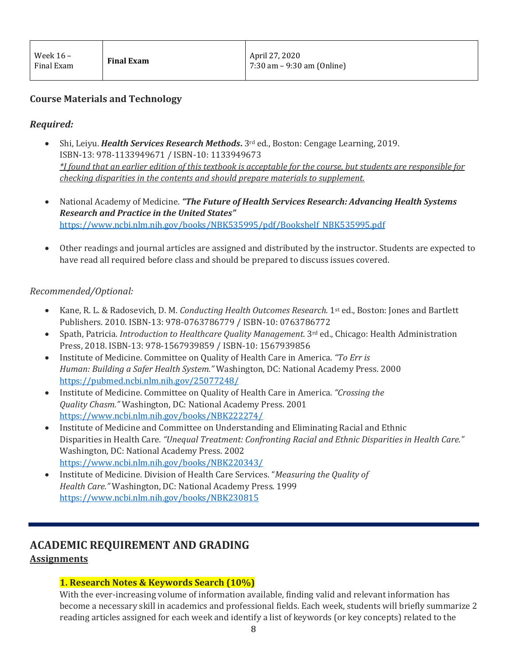## **Course Materials and Technology**

## *Required:*

- Shi, Leiyu. *Health Services Research Methods***.** 3rd ed., Boston: Cengage Learning, 2019. ISBN-13: 978-1133949671 / ISBN-10: 1133949673 *\*I found that an earlier edition of this textbook is acceptable for the course, but students are responsible for checking disparities in the contents and should prepare materials to supplement.*
- National Academy of Medicine. *"The Future of Health Services Research: Advancing Health Systems Research and Practice in the United States"*  [https://www.ncbi.nlm.nih.gov/books/NBK535995/pdf/Bookshelf\\_NBK535995.pdf](https://www.ncbi.nlm.nih.gov/books/NBK535995/pdf/Bookshelf_NBK535995.pdf)
- Other readings and journal articles are assigned and distributed by the instructor. Students are expected to have read all required before class and should be prepared to discuss issues covered.

#### *Recommended/Optional:*

- Kane, R. L. & Radosevich, D. M. *Conducting Health Outcomes Research.* 1st ed., Boston: Jones and Bartlett Publishers. 2010. ISBN-13: 978-0763786779 / ISBN-10: 0763786772
- Spath, Patricia. *Introduction to Healthcare Quality Management.* 3rd ed., Chicago: Health Administration Press, 2018. ISBN-13: 978-1567939859 / ISBN-10: 1567939856
- Institute of Medicine. Committee on Quality of Health Care in America. *"To Err is Human: Building a Safer Health System."* Washington, DC: National Academy Press. 2000 <https://pubmed.ncbi.nlm.nih.gov/25077248/>
- Institute of Medicine. Committee on Quality of Health Care in America. *"Crossing the Quality Chasm."* Washington, DC: National Academy Press. 2001 <https://www.ncbi.nlm.nih.gov/books/NBK222274/>
- Institute of Medicine and Committee on Understanding and Eliminating Racial and Ethnic Disparities in Health Care. *"Unequal Treatment: Confronting Racial and Ethnic Disparities in Health Care."* Washington, DC: National Academy Press. 2002 <https://www.ncbi.nlm.nih.gov/books/NBK220343/>
- Institute of Medicine. Division of Health Care Services. "*Measuring the Quality of Health Care."* Washington, DC: National Academy Press. 1999 <https://www.ncbi.nlm.nih.gov/books/NBK230815>

# **ACADEMIC REQUIREMENT AND GRADING**

## **Assignments**

## **1. Research Notes & Keywords Search (10%)**

With the ever-increasing volume of information available, finding valid and relevant information has become a necessary skill in academics and professional fields. Each week, students will briefly summarize 2 reading articles assigned for each week and identify a list of keywords (or key concepts) related to the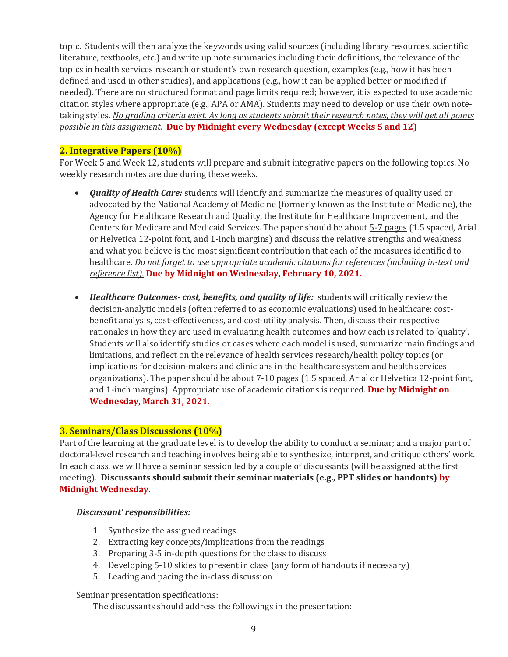topic. Students will then analyze the keywords using valid sources (including library resources, scientific literature, textbooks, etc.) and write up note summaries including their definitions, the relevance of the topics in health services research or student's own research question, examples (e.g., how it has been defined and used in other studies), and applications (e.g., how it can be applied better or modified if needed). There are no structured format and page limits required; however, it is expected to use academic citation styles where appropriate (e.g., APA or AMA). Students may need to develop or use their own notetaking styles. *No grading criteria exist. As long as students submit their research notes, they will get all points possible in this assignment.* **Due by Midnight every Wednesday (except Weeks 5 and 12)**

#### **2. Integrative Papers (10%)**

For Week 5 and Week 12, students will prepare and submit integrative papers on the following topics. No weekly research notes are due during these weeks.

- *Quality of Health Care:* students will identify and summarize the measures of quality used or advocated by the National Academy of Medicine (formerly known as the Institute of Medicine), the Agency for Healthcare Research and Quality, the Institute for Healthcare Improvement, and the Centers for Medicare and Medicaid Services. The paper should be about 5-7 pages (1.5 spaced, Arial or Helvetica 12-point font, and 1-inch margins) and discuss the relative strengths and weakness and what you believe is the most significant contribution that each of the measures identified to healthcare. *Do not forget to use appropriate academic citations for references (including in-text and reference list).* **Due by Midnight on Wednesday, February 10, 2021.**
- *Healthcare Outcomes- cost, benefits, and quality of life:* students will critically review the decision-analytic models (often referred to as economic evaluations) used in healthcare: costbenefit analysis, cost-effectiveness, and cost-utility analysis. Then, discuss their respective rationales in how they are used in evaluating health outcomes and how each is related to 'quality'. Students will also identify studies or cases where each model is used, summarize main findings and limitations, and reflect on the relevance of health services research/health policy topics (or implications for decision-makers and clinicians in the healthcare system and health services organizations). The paper should be about  $7-10$  pages (1.5 spaced, Arial or Helvetica 12-point font, and 1-inch margins). Appropriate use of academic citations is required. **Due by Midnight on Wednesday, March 31, 2021.**

#### **3. Seminars/Class Discussions (10%)**

Part of the learning at the graduate level is to develop the ability to conduct a seminar; and a major part of doctoral-level research and teaching involves being able to synthesize, interpret, and critique others' work. In each class, we will have a seminar session led by a couple of discussants (will be assigned at the first meeting). **Discussants should submit their seminar materials (e.g., PPT slides or handouts) by Midnight Wednesday.**

#### *Discussant' responsibilities:*

- 1. Synthesize the assigned readings
- 2. Extracting key concepts/implications from the readings
- 3. Preparing 3-5 in-depth questions for the class to discuss
- 4. Developing 5-10 slides to present in class (any form of handouts if necessary)
- 5. Leading and pacing the in-class discussion

#### Seminar presentation specifications:

The discussants should address the followings in the presentation: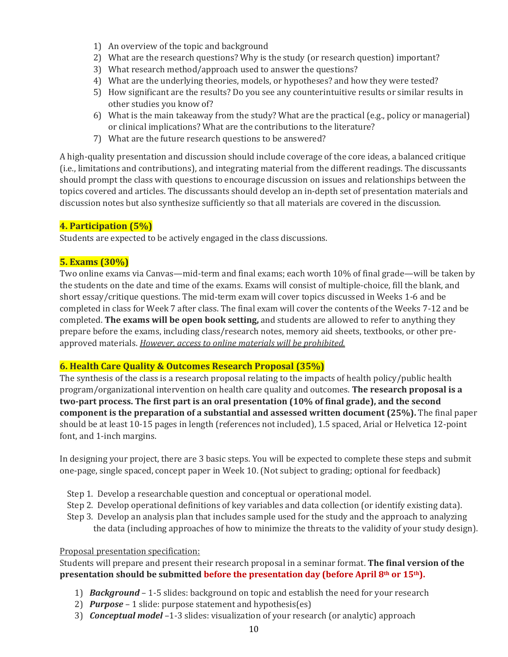- 1) An overview of the topic and background
- 2) What are the research questions? Why is the study (or research question) important?
- 3) What research method/approach used to answer the questions?
- 4) What are the underlying theories, models, or hypotheses? and how they were tested?
- 5) How significant are the results? Do you see any counterintuitive results or similar results in other studies you know of?
- 6) What is the main takeaway from the study? What are the practical (e.g., policy or managerial) or clinical implications? What are the contributions to the literature?
- 7) What are the future research questions to be answered?

A high-quality presentation and discussion should include coverage of the core ideas, a balanced critique (i.e., limitations and contributions), and integrating material from the different readings. The discussants should prompt the class with questions to encourage discussion on issues and relationships between the topics covered and articles. The discussants should develop an in-depth set of presentation materials and discussion notes but also synthesize sufficiently so that all materials are covered in the discussion.

## **4. Participation (5%)**

Students are expected to be actively engaged in the class discussions.

#### **5. Exams (30%)**

Two online exams via Canvas—mid-term and final exams; each worth 10% of final grade—will be taken by the students on the date and time of the exams. Exams will consist of multiple-choice, fill the blank, and short essay/critique questions. The mid-term exam will cover topics discussed in Weeks 1-6 and be completed in class for Week 7 after class. The final exam will cover the contents of the Weeks 7-12 and be completed. **The exams will be open book setting,** and students are allowed to refer to anything they prepare before the exams, including class/research notes, memory aid sheets, textbooks, or other preapproved materials. *However, access to online materials will be prohibited.*

#### **6. Health Care Quality & Outcomes Research Proposal (35%)**

The synthesis of the class is a research proposal relating to the impacts of health policy/public health program/organizational intervention on health care quality and outcomes. **The research proposal is a two-part process. The first part is an oral presentation (10% of final grade), and the second component is the preparation of a substantial and assessed written document (25%).** The final paper should be at least 10-15 pages in length (references not included), 1.5 spaced, Arial or Helvetica 12-point font, and 1-inch margins.

In designing your project, there are 3 basic steps. You will be expected to complete these steps and submit one-page, single spaced, concept paper in Week 10. (Not subject to grading; optional for feedback)

- Step 1. Develop a researchable question and conceptual or operational model.
- Step 2. Develop operational definitions of key variables and data collection (or identify existing data).
- Step 3. Develop an analysis plan that includes sample used for the study and the approach to analyzing the data (including approaches of how to minimize the threats to the validity of your study design).

#### Proposal presentation specification:

Students will prepare and present their research proposal in a seminar format. **The final version of the presentation should be submitted before the presentation day (before April 8th or 15th).**

- 1) *Background* 1-5 slides: background on topic and establish the need for your research
- 2) *Purpose* 1 slide: purpose statement and hypothesis(es)
- 3) *Conceptual model* –1-3 slides: visualization of your research (or analytic) approach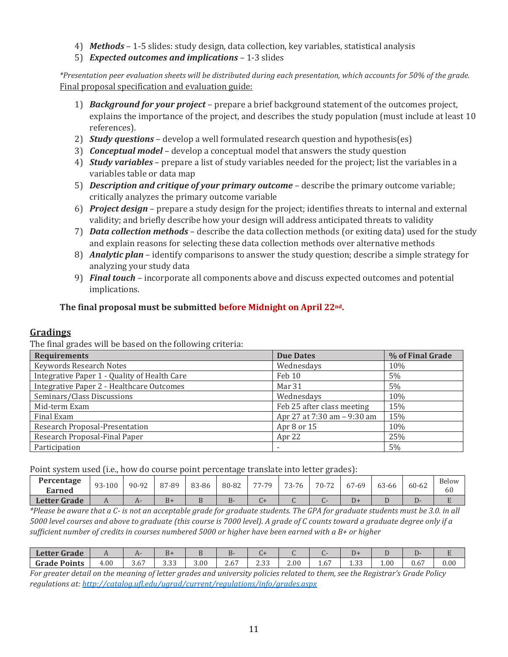- 4) *Methods*  1-5 slides: study design, data collection, key variables, statistical analysis
- 5) *Expected outcomes and implications*  1-3 slides

*\*Presentation peer evaluation sheets will be distributed during each presentation, which accounts for 50% of the grade.* Final proposal specification and evaluation guide:

- 1) *Background for your project* prepare a brief background statement of the outcomes project, explains the importance of the project, and describes the study population (must include at least 10 references).
- 2) *Study questions* develop a well formulated research question and hypothesis(es)
- 3) *Conceptual model* develop a conceptual model that answers the study question
- 4) *Study variables* prepare a list of study variables needed for the project; list the variables in a variables table or data map
- 5) *Description and critique of your primary outcome* describe the primary outcome variable; critically analyzes the primary outcome variable
- 6) *Project design* prepare a study design for the project; identifies threats to internal and external validity; and briefly describe how your design will address anticipated threats to validity
- 7) *Data collection methods* describe the data collection methods (or exiting data) used for the study and explain reasons for selecting these data collection methods over alternative methods
- 8) *Analytic plan* identify comparisons to answer the study question; describe a simple strategy for analyzing your study data
- 9) *Final touch* incorporate all components above and discuss expected outcomes and potential implications.

## **The final proposal must be submitted before Midnight on April 22nd.**

## **Gradings**

The final grades will be based on the following criteria:

| <b>Requirements</b>                          | <b>Due Dates</b>            | % of Final Grade |
|----------------------------------------------|-----------------------------|------------------|
| Keywords Research Notes                      | Wednesdays                  | 10%              |
| Integrative Paper 1 - Quality of Health Care | Feb 10                      | 5%               |
| Integrative Paper 2 - Healthcare Outcomes    | Mar 31                      | 5%               |
| Seminars/Class Discussions                   | Wednesdays                  | 10%              |
| Mid-term Exam                                | Feb 25 after class meeting  | 15%              |
| Final Exam                                   | Apr 27 at 7:30 am - 9:30 am | 15%              |
| Research Proposal-Presentation               | Apr 8 or 15                 | 10%              |
| Research Proposal-Final Paper                | Apr 22                      | 25%              |
| Participation                                |                             | 5%               |

Point system used (i.e., how do course point percentage translate into letter grades):

|                             |        |                  |       |       |       |       |       | $-$        |       |       |       |             |
|-----------------------------|--------|------------------|-------|-------|-------|-------|-------|------------|-------|-------|-------|-------------|
| Percentage<br><b>Earned</b> | 93-100 | 90-92            | 87-89 | 83-86 | 80-82 | 77-79 | 73-76 | 70-72<br>∼ | 67-69 | 63-66 | 60-62 | Below<br>60 |
| <b>Letter Grade</b>         | . .    | $\boldsymbol{A}$ | $B+$  |       |       | $-1$  | ີ     |            | D+    |       |       |             |

*\*Please be aware that a C- is not an acceptable grade for graduate students. The GPA for graduate students must be 3.0. in all 5000 level courses and above to graduate (this course is 7000 level). A grade of C counts toward a graduate degree only if a sufficient number of credits in courses numbered 5000 or higher have been earned with a B+ or higher*

| <b>Letter Grade</b> | . .  |                    | D+               |      |                         |               |      |                   | ມ≁                    |          |                  |      |
|---------------------|------|--------------------|------------------|------|-------------------------|---------------|------|-------------------|-----------------------|----------|------------------|------|
| <b>Grade Points</b> | 4.00 | $\sim$ $-$<br>، ن. | $\Omega$<br>ບ.ບບ | 3.00 | $\sim$ $-$<br>∽<br>2.6. | 22<br>ں ں ، ب | 2.00 | $\sim$ $-$<br>.to | $\sim$ $\sim$<br>ں سد | $1.00\,$ | 0.6 <sub>1</sub> | 0.00 |

*For greater detail on the meaning of letter grades and university policies related to them, see the Registrar's Grade Policy regulations at:<http://catalog.ufl.edu/ugrad/current/regulations/info/grades.aspx>*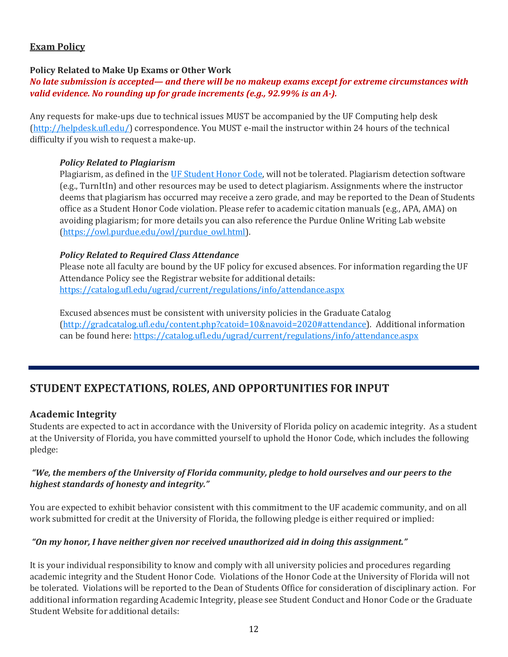## **Exam Policy**

#### **Policy Related to Make Up Exams or Other Work**

#### *No late submission is accepted— and there will be no makeup exams except for extreme circumstances with valid evidence. No rounding up for grade increments (e.g., 92.99% is an A-).*

Any requests for make-ups due to technical issues MUST be accompanied by the UF Computing help desk [\(http://helpdesk.ufl.edu/\)](http://helpdesk.ufl.edu/) correspondence. You MUST e-mail the instructor within 24 hours of the technical difficulty if you wish to request a make-up.

#### *Policy Related to Plagiarism*

Plagiarism, as defined in the [UF Student Honor Code,](https://regulations.ufl.edu/wpcontent/uploads/2018/06/4.040-1.pdf) will not be tolerated. Plagiarism detection software (e.g., TurnItIn) and other resources may be used to detect plagiarism. Assignments where the instructor deems that plagiarism has occurred may receive a zero grade, and may be reported to the Dean of Students office as a Student Honor Code violation. Please refer to academic citation manuals (e.g., APA, AMA) on avoiding plagiarism; for more details you can also reference the Purdue Online Writing Lab website [\(https://owl.purdue.edu/owl/purdue\\_owl.html\)](https://owl.purdue.edu/owl/purdue_owl.html).

#### *Policy Related to Required Class Attendance*

Please note all faculty are bound by the UF policy for excused absences. For information regarding the UF Attendance Policy see the Registrar website for additional details: <https://catalog.ufl.edu/ugrad/current/regulations/info/attendance.aspx>

Excused absences must be consistent with university policies in the Graduate Catalog [\(http://gradcatalog.ufl.edu/content.php?catoid=10&navoid=2020#attendance\)](http://gradcatalog.ufl.edu/content.php?catoid=10&navoid=2020#attendance). Additional information can be found here:<https://catalog.ufl.edu/ugrad/current/regulations/info/attendance.aspx>

# **STUDENT EXPECTATIONS, ROLES, AND OPPORTUNITIES FOR INPUT**

## **Academic Integrity**

Students are expected to act in accordance with the University of Florida policy on academic integrity. As a student at the University of Florida, you have committed yourself to uphold the Honor Code, which includes the following pledge:

#### *"We, the members of the University of Florida community, pledge to hold ourselves and our peers to the highest standards of honesty and integrity."*

You are expected to exhibit behavior consistent with this commitment to the UF academic community, and on all work submitted for credit at the University of Florida, the following pledge is either required or implied:

#### *"On my honor, I have neither given nor received unauthorized aid in doing this assignment."*

It is your individual responsibility to know and comply with all university policies and procedures regarding academic integrity and the Student Honor Code. Violations of the Honor Code at the University of Florida will not be tolerated. Violations will be reported to the Dean of Students Office for consideration of disciplinary action. For additional information regarding Academic Integrity, please see Student Conduct and Honor Code or the Graduate Student Website for additional details: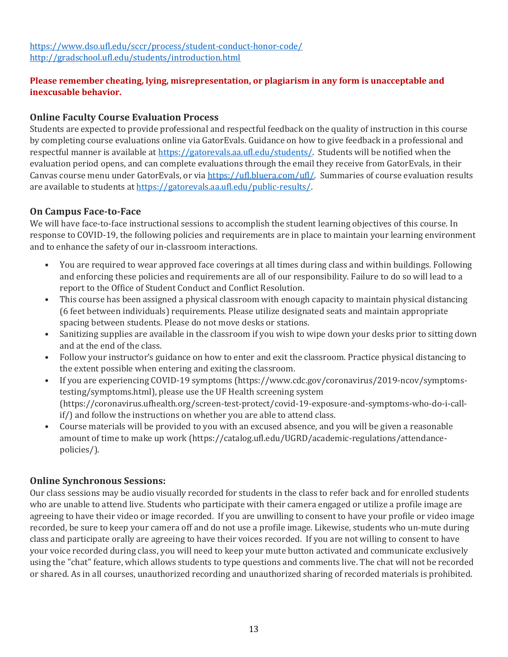## **Please remember cheating, lying, misrepresentation, or plagiarism in any form is unacceptable and inexcusable behavior.**

## **Online Faculty Course Evaluation Process**

Students are expected to provide professional and respectful feedback on the quality of instruction in this course by completing course evaluations online via GatorEvals. Guidance on how to give feedback in a professional and respectful manner is available at [https://gatorevals.aa.ufl.edu/students/.](https://gatorevals.aa.ufl.edu/students/) Students will be notified when the evaluation period opens, and can complete evaluations through the email they receive from GatorEvals, in their Canvas course menu under GatorEvals, or vi[a https://ufl.bluera.com/ufl/.](https://ufl.bluera.com/ufl/) Summaries of course evaluation results are available to students a[t https://gatorevals.aa.ufl.edu/public-results/.](https://gatorevals.aa.ufl.edu/public-results/)

## **On Campus Face-to-Face**

We will have face-to-face instructional sessions to accomplish the student learning objectives of this course. In response to COVID-19, the following policies and requirements are in place to maintain your learning environment and to enhance the safety of our in-classroom interactions.

- You are required to wear approved face coverings at all times during class and within buildings. Following and enforcing these policies and requirements are all of our responsibility. Failure to do so will lead to a report to the Office of Student Conduct and Conflict Resolution.
- This course has been assigned a physical classroom with enough capacity to maintain physical distancing (6 feet between individuals) requirements. Please utilize designated seats and maintain appropriate spacing between students. Please do not move desks or stations.
- Sanitizing supplies are available in the classroom if you wish to wipe down your desks prior to sitting down and at the end of the class.
- Follow your instructor's guidance on how to enter and exit the classroom. Practice physical distancing to the extent possible when entering and exiting the classroom.
- If you are experiencing COVID-19 symptoms (https://www.cdc.gov/coronavirus/2019-ncov/symptomstesting/symptoms.html), please use the UF Health screening system (https://coronavirus.ufhealth.org/screen-test-protect/covid-19-exposure-and-symptoms-who-do-i-callif/) and follow the instructions on whether you are able to attend class.
- Course materials will be provided to you with an excused absence, and you will be given a reasonable amount of time to make up work (https://catalog.ufl.edu/UGRD/academic-regulations/attendancepolicies/).

## **Online Synchronous Sessions:**

Our class sessions may be audio visually recorded for students in the class to refer back and for enrolled students who are unable to attend live. Students who participate with their camera engaged or utilize a profile image are agreeing to have their video or image recorded. If you are unwilling to consent to have your profile or video image recorded, be sure to keep your camera off and do not use a profile image. Likewise, students who un-mute during class and participate orally are agreeing to have their voices recorded. If you are not willing to consent to have your voice recorded during class, you will need to keep your mute button activated and communicate exclusively using the "chat" feature, which allows students to type questions and comments live. The chat will not be recorded or shared. As in all courses, unauthorized recording and unauthorized sharing of recorded materials is prohibited.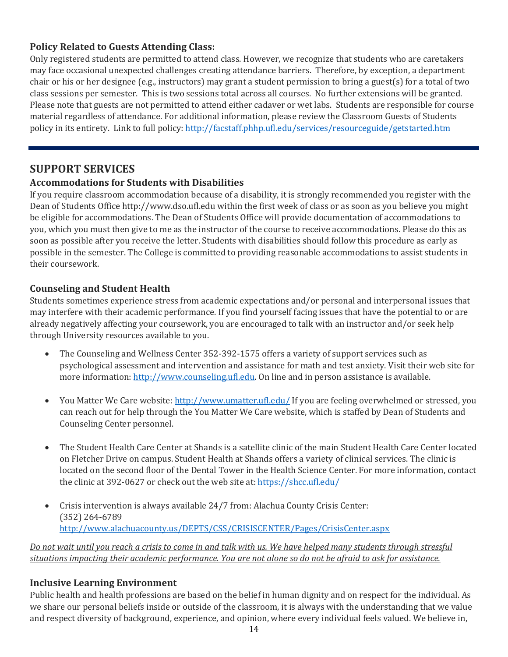## **Policy Related to Guests Attending Class:**

Only registered students are permitted to attend class. However, we recognize that students who are caretakers may face occasional unexpected challenges creating attendance barriers. Therefore, by exception, a department chair or his or her designee (e.g., instructors) may grant a student permission to bring a guest(s) for a total of two class sessions per semester. This is two sessions total across all courses. No further extensions will be granted. Please note that guests are not permitted to attend either cadaver or wet labs. Students are responsible for course material regardless of attendance. For additional information, please review the Classroom Guests of Students policy in its entirety. Link to full policy[: http://facstaff.phhp.ufl.edu/services/resourceguide/getstarted.htm](http://facstaff.phhp.ufl.edu/services/resourceguide/getstarted.htm)

## **SUPPORT SERVICES**

## **Accommodations for Students with Disabilities**

If you require classroom accommodation because of a disability, it is strongly recommended you register with the Dean of Students Office http://www.dso.ufl.edu within the first week of class or as soon as you believe you might be eligible for accommodations. The Dean of Students Office will provide documentation of accommodations to you, which you must then give to me as the instructor of the course to receive accommodations. Please do this as soon as possible after you receive the letter. Students with disabilities should follow this procedure as early as possible in the semester. The College is committed to providing reasonable accommodations to assist students in their coursework.

## **Counseling and Student Health**

Students sometimes experience stress from academic expectations and/or personal and interpersonal issues that may interfere with their academic performance. If you find yourself facing issues that have the potential to or are already negatively affecting your coursework, you are encouraged to talk with an instructor and/or seek help through University resources available to you.

- The Counseling and Wellness Center 352-392-1575 offers a variety of support services such as psychological assessment and intervention and assistance for math and test anxiety. Visit their web site for more information: [http://www.counseling.ufl.edu.](http://www.counseling.ufl.edu/) On line and in person assistance is available.
- $\bullet$  You Matter We Care website[: http://www.umatter.ufl.edu/](http://www.umatter.ufl.edu/) If you are feeling overwhelmed or stressed, you can reach out for help through the You Matter We Care website, which is staffed by Dean of Students and Counseling Center personnel.
- The Student Health Care Center at Shands is a satellite clinic of the main Student Health Care Center located on Fletcher Drive on campus. Student Health at Shands offers a variety of clinical services. The clinic is located on the second floor of the Dental Tower in the Health Science Center. For more information, contact the clinic at 392-0627 or check out the web site at:<https://shcc.ufl.edu/>
- Crisis intervention is always available 24/7 from: Alachua County Crisis Center: (352) 264-6789 <http://www.alachuacounty.us/DEPTS/CSS/CRISISCENTER/Pages/CrisisCenter.aspx>

*Do not wait until you reach a crisis to come in and talk with us. We have helped many students through stressful situations impacting their academic performance. You are not alone so do not be afraid to ask for assistance.*

## **Inclusive Learning Environment**

Public health and health professions are based on the belief in human dignity and on respect for the individual. As we share our personal beliefs inside or outside of the classroom, it is always with the understanding that we value and respect diversity of background, experience, and opinion, where every individual feels valued. We believe in,